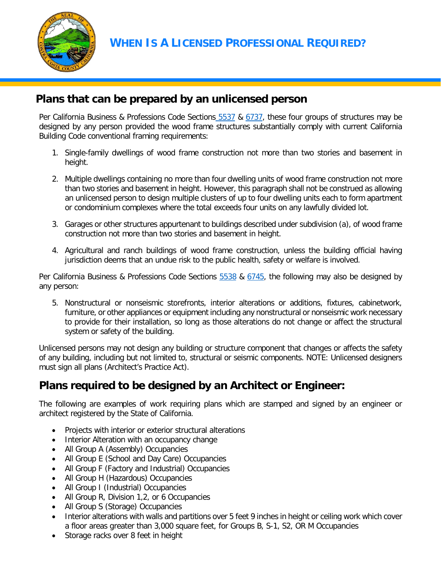

**WHEN IS A LICENSED PROFESSIONAL REQUIRED?**

## **Plans that can be prepared by an unlicensed person**

Per California Business & Professions Code Sections [5537](http://leginfo.legislature.ca.gov/faces/codes_displaySection.xhtml?lawCode=BPC§ionNum=5537) & [6737,](http://leginfo.legislature.ca.gov/faces/codes_displaySection.xhtml?lawCode=BPC§ionNum=6737) these four groups of structures may be designed by any person provided the wood frame structures substantially comply with current California Building Code conventional framing requirements:

- 1. Single-family dwellings of wood frame construction not more than two stories and basement in height.
- 2. Multiple dwellings containing no more than four dwelling units of wood frame construction not more than two stories and basement in height. However, this paragraph shall not be construed as allowing an unlicensed person to design multiple clusters of up to four dwelling units each to form apartment or condominium complexes where the total exceeds four units on any lawfully divided lot.
- 3. Garages or other structures appurtenant to buildings described under subdivision (a), of wood frame construction not more than two stories and basement in height.
- 4. Agricultural and ranch buildings of wood frame construction, unless the building official having jurisdiction deems that an undue risk to the public health, safety or welfare is involved.

Per California Business & Professions Code Sections [5538](http://leginfo.legislature.ca.gov/faces/codes_displaySection.xhtml?lawCode=BPC§ionNum=5536.4.) & [6745,](http://leginfo.legislature.ca.gov/faces/codes_displaySection.xhtml?lawCode=BPC§ionNum=6737) the following may also be designed by any person:

5. Nonstructural or nonseismic storefronts, interior alterations or additions, fixtures, cabinetwork, furniture, or other appliances or equipment including any nonstructural or nonseismic work necessary to provide for their installation, so long as those alterations do not change or affect the structural system or safety of the building.

Unlicensed persons may not design any building or structure component that changes or affects the safety of any building, including but not limited to, structural or seismic components. NOTE: Unlicensed designers must sign all plans (Architect's Practice Act).

## **Plans required to be designed by an Architect or Engineer:**

The following are examples of work requiring plans which are stamped and signed by an engineer or architect registered by the State of California.

- Projects with interior or exterior structural alterations
- Interior Alteration with an occupancy change
- All Group A (Assembly) Occupancies
- All Group E (School and Day Care) Occupancies
- All Group F (Factory and Industrial) Occupancies
- All Group H (Hazardous) Occupancies
- All Group I (Industrial) Occupancies
- All Group R, Division 1,2, or 6 Occupancies
- All Group S (Storage) Occupancies
- Interior alterations with walls and partitions over 5 feet 9 inches in height or ceiling work which cover a floor areas greater than 3,000 square feet, for Groups B, S-1, S2, OR M Occupancies
- Storage racks over 8 feet in height